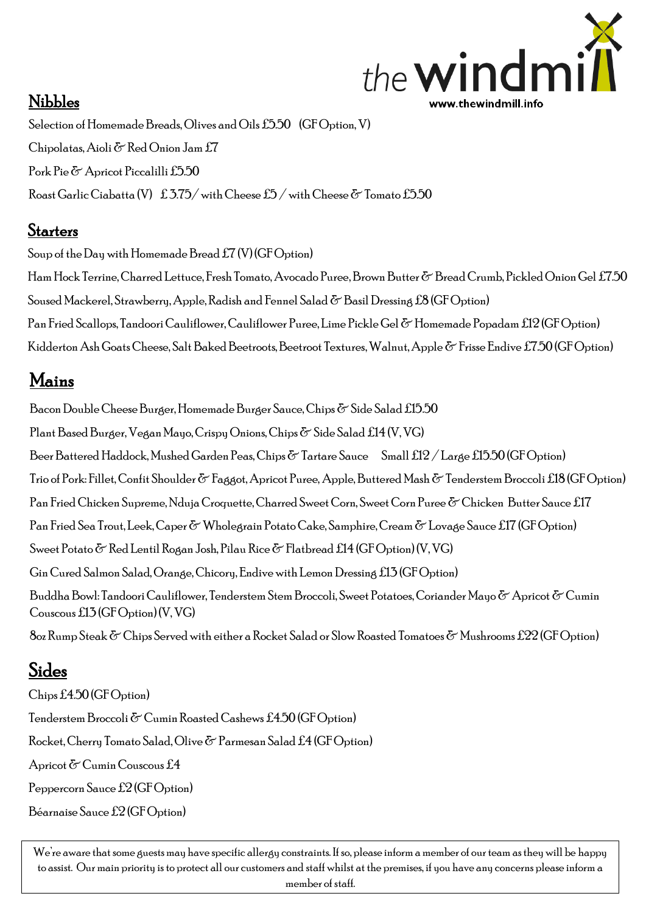

#### Nibbles

Selection of Homemade Breads, Olives and Oils £5.50 (GF Option, V) Chipolatas, Aioli  $\delta$  Red Onion Jam £7 Pork Pie & Apricot Piccalilli £5.50 Roast Garlic Ciabatta (V)  $\pm 3.75/\text{ with}$  Cheese  $\pm 5/\text{ with}$  Cheese  $\&$  Tomato  $\pm 5.50$ 

### **Starters**

Soup of the Day with Homemade Bread  $f(7)(\text{GF Option})$ 

Ham Hock Terrine, Charred Lettuce, Fresh Tomato, Avocado Puree, Brown Butter & Bread Crumb, Pickled Onion Gel £7.50 Soused Mackerel, Strawberry, Apple, Radish and Fennel Salad  $\delta$  Basil Dressing £8 (GF Option) Pan Fried Scallops, Tandoori Cauliflower, Cauliflower Puree, Lime Pickle Gel & Homemade Popadam £12 (GF Option) Kidderton Ash Goats Cheese, Salt Baked Beetroots, Beetroot Textures, Walnut, Apple & Frisse Endive £7.50 (GF Option)

# Mains

Bacon Double Cheese Burger, Homemade Burger Sauce, Chips  $\delta$  Side Salad £15.50 Plant Based Burger, Vegan Mayo, Crispy Onions, Chips & Side Salad £14 (V, VG) Beer Battered Haddock, Mushed Garden Peas, Chips  $\delta$  Tartare Sauce Small £12 / Large £15.50 (GF Option) Trio of Pork: Fillet, Confit Shoulder & Faggot, Apricot Puree, Apple, Buttered Mash & Tenderstem Broccoli £18 (GF Option) Pan Fried Chicken Supreme, Nduja Croquette, Charred Sweet Corn, Sweet Corn Puree & Chicken Butter Sauce £17 Pan Fried Sea Trout, Leek,Caper & Wholegrain Potato Cake, Samphire, Cream & Lovage Sauce £17 (GF Option) Sweet Potato  $\delta$  Red Lentil Rogan Josh, Pilau Rice  $\delta$  Flatbread £14 (GF Option) (V, VG) Gin Cured Salmon Salad, Orange, Chicory, Endive with LemonDressing £13 (GF Option) Buddha Bowl: Tandoori Cauliflower, Tenderstem Stem Broccoli, Sweet Potatoes, Coriander Mayo & Apricot & Cumin Couscous £13 (GF Option) (V, VG)  $8$ oz Rump Steak  $\delta$  Chips Served with either a Rocket Salad or Slow Roasted Tomatoes  $\delta$  Mushrooms £22 (GF Option)

#### Sides í ì

Chips £4.50 (GF Option) Tenderstem Broccoli & Cumin Roasted Cashews £4.50 (GF Option) Rocket,Cherry Tomato Salad, Olive & Parmesan Salad £4 (GF Option) Apricot & Cumin Couscous £4 Peppercorn Sauce £2 (GF Option) Béarnaise Sauce £2 (GF Option)

We're aware that some guests may have specific allergy constraints. If so, please inform a member of our team as they will be happy to assist. Our main priority is to protect all our customers and staff whilst at the premises, if you have any concerns please inform a member of staff.